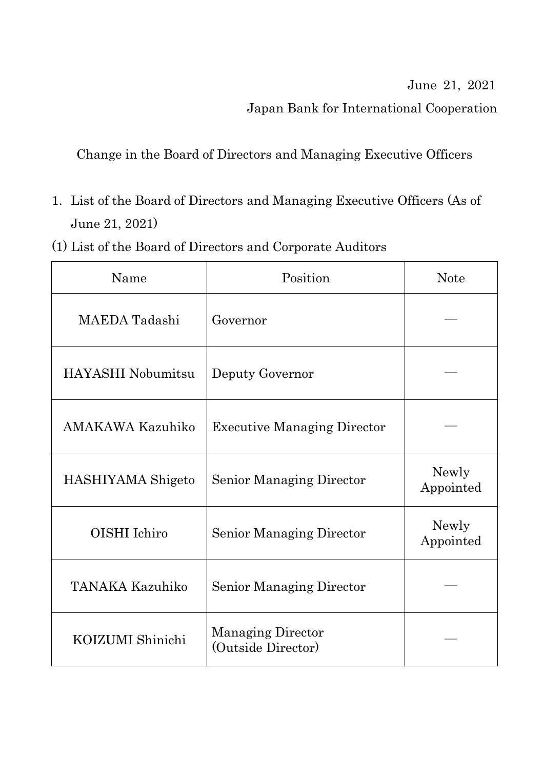## June 21, 2021

Japan Bank for International Cooperation

Change in the Board of Directors and Managing Executive Officers

- 1. List of the Board of Directors and Managing Executive Officers (As of June 21, 2021)
- (1) List of the Board of Directors and Corporate Auditors

| Name                     | Position                                       | <b>Note</b>        |
|--------------------------|------------------------------------------------|--------------------|
| MAEDA Tadashi            | Governor                                       |                    |
| <b>HAYASHI</b> Nobumitsu | Deputy Governor                                |                    |
| <b>AMAKAWA Kazuhiko</b>  | <b>Executive Managing Director</b>             |                    |
| HASHIYAMA Shigeto        | <b>Senior Managing Director</b>                | Newly<br>Appointed |
| OISHI Ichiro             | <b>Senior Managing Director</b>                | Newly<br>Appointed |
| <b>TANAKA Kazuhiko</b>   | <b>Senior Managing Director</b>                |                    |
| KOIZUMI Shinichi         | <b>Managing Director</b><br>(Outside Director) |                    |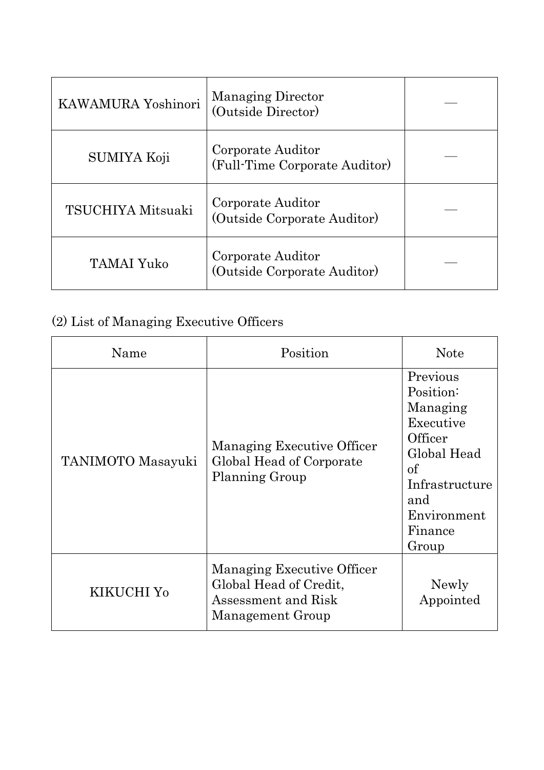| KAWAMURA Yoshinori | <b>Managing Director</b><br>(Outside Director)     |  |
|--------------------|----------------------------------------------------|--|
| <b>SUMIYA Koji</b> | Corporate Auditor<br>(Full-Time Corporate Auditor) |  |
| TSUCHIYA Mitsuaki  | Corporate Auditor<br>(Outside Corporate Auditor)   |  |
| <b>TAMAI Yuko</b>  | Corporate Auditor<br>(Outside Corporate Auditor)   |  |

## (2) List of Managing Executive Officers

| Name                     | Position                                                                                        | <b>Note</b>                                                                                                                                |
|--------------------------|-------------------------------------------------------------------------------------------------|--------------------------------------------------------------------------------------------------------------------------------------------|
| <b>TANIMOTO</b> Masayuki | Managing Executive Officer<br>Global Head of Corporate<br>Planning Group                        | Previous<br>Position:<br>Managing<br>Executive<br>Officer<br>Global Head<br>of<br>Infrastructure<br>and<br>Environment<br>Finance<br>Group |
| KIKUCHI Y <sub>0</sub>   | Managing Executive Officer<br>Global Head of Credit,<br>Assessment and Risk<br>Management Group | Newly<br>Appointed                                                                                                                         |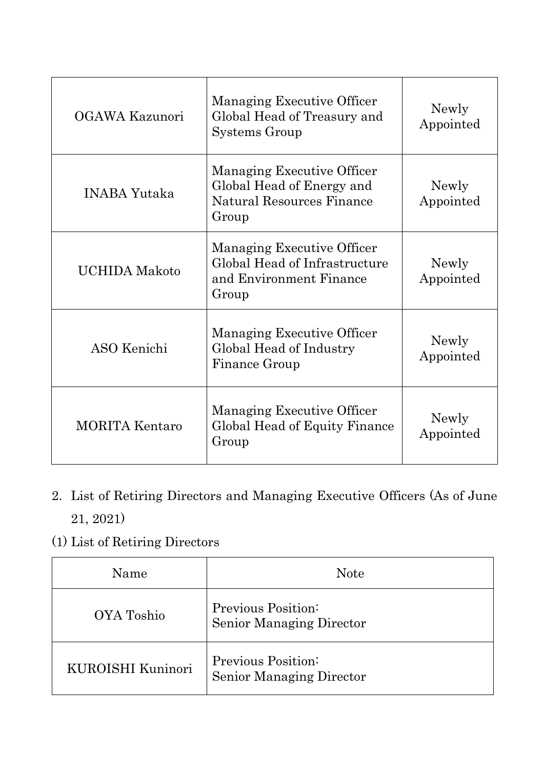| OGAWA Kazunori        | Managing Executive Officer<br>Global Head of Treasury and<br>Systems Group                           | Newly<br>Appointed |
|-----------------------|------------------------------------------------------------------------------------------------------|--------------------|
| <b>INABA Yutaka</b>   | Managing Executive Officer<br>Global Head of Energy and<br><b>Natural Resources Finance</b><br>Group | Newly<br>Appointed |
| <b>UCHIDA</b> Makoto  | Managing Executive Officer<br>Global Head of Infrastructure<br>and Environment Finance<br>Group      | Newly<br>Appointed |
| ASO Kenichi           | Managing Executive Officer<br>Global Head of Industry<br>Finance Group                               | Newly<br>Appointed |
| <b>MORITA Kentaro</b> | Managing Executive Officer<br>Global Head of Equity Finance<br>Group                                 | Newly<br>Appointed |

- 2. List of Retiring Directors and Managing Executive Officers (As of June 21, 2021)
- (1) List of Retiring Directors

| Name                     | <b>Note</b>                                    |
|--------------------------|------------------------------------------------|
| OYA Toshio               | Previous Position:<br>Senior Managing Director |
| <b>KUROISHI Kuninori</b> | Previous Position:<br>Senior Managing Director |